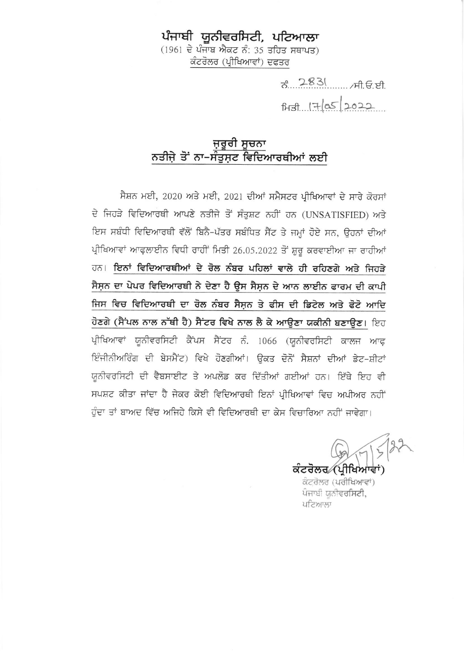## ਪੰਜਾਬੀ ਯੂਨੀਵਰਸਿਟੀ, ਪਟਿਆਲਾ

 $(1961$  ਦੇ ਪੰਜਾਬ ਐਕਟ ਨੰ: 35 ਤਹਿਤ ਸਥਾਪਤ) ਕੰਟਰੋਲਰ (ਪ੍ਰੀਖਿਆਵਾਂ) ਦਫਤਰ

> ਨ. 2831 ਸੀ.ਓ.ਈ.  $\frac{17}{8}$   $\frac{7}{8}$   $\frac{1}{2022}$

### ਜ਼ਰੂਰੀ ਸੂਚਨਾ ਨਤੀਜੇ ਤੋਂ ਨਾ-ਸੰਤੁਸ਼ਟ ਵਿਦਿਆਰਥੀਆਂ ਲਈ

ਸੈਸ਼ਨ ਮਈ, 2020 ਅਤੇ ਮਈ, 2021 ਦੀਆਂ ਸਮੈਸਟਰ ਪ੍ਰੀਖਿਆਵਾਂ ਦੇ ਸਾਰੇ ਕੋਰਸਾਂ ਦੇ ਜਿਹੜੇ ਵਿਦਿਆਰਥੀ ਆਪਣੇ ਨਤੀਜੇ ਤੋਂ ਸੰਤੁਸ਼ਟ ਨਹੀਂ ਹਨ (UNSATISFIED) ਅਤੇ ਇਸ ਸਬੰਧੀ ਵਿਦਿਆਰਥੀ ਵੱਲੋਂ ਬਿਨੈ-ਪੱਤਰ ਸਬੰਧਿਤ ਸੈਂਟ ਤੇ ਜਮ੍ਹਾਂ ਹੋਏ ਸਨ, ਉਹਨਾਂ ਦੀਆਂ ਪ੍ਰੀਖਿਆਵਾਂ ਆਫ਼ਲਾਈਨ ਵਿਧੀ ਰਾਹੀਂ ਮਿਤੀ 26.05.2022 ਤੋਂ ਸ਼ੁਰੂ ਕਰਵਾਈਆ ਜਾ ਰਾਹੀਆਂ ਹਨ। ਇਨਾਂ ਵਿਦਿਆਰਥੀਆਂ ਦੇ ਰੋਲ ਨੰਬਰ ਪਹਿਲਾਂ ਵਾਲੇ ਹੀ ਰਹਿਣਗੇ ਅਤੇ ਜਿਹੜੇ ਸੈਸਨ ਦਾ ਪੇਪਰ ਵਿਦਿਆਰਥੀ ਨੇ ਦੇਣਾ ਹੈ ੳਸ ਸੈਸਨ ਦੇ ਆਨ ਲਾਈਨ ਫਾਰਮ ਦੀ ਕਾਪੀ ਜਿਸ ਵਿਚ ਵਿਦਿਆਰਥੀ ਦਾ ਰੋਲ ਨੰਬਰ ਸੈਸ਼ਨ ਤੇ ਫੀਸ ਦੀ ਡਿਟੇਲ ਅਤੇ ਫੋਟੋ ਆਦਿ ਹੋਣਗੇ (ਸੈਂਪਲ ਨਾਲ ਨੱਥੀ ਹੈ) ਸੈਂਟਰ ਵਿਖੇ ਨਾਲ ਲੈ ਕੇ ਆਉਣਾ ਯਕੀਨੀ ਬਣਾਉਣ। ਇਹ ਪ੍ਰੀਖਿਆਵਾਂ ਯੂਨੀਵਰਸਿਟੀ ਕੈਂਪਸ ਸੈਂਟਰ ਨੰ. 1066 (ਯੂਨੀਵਰਸਿਟੀ ਕਾਲਜ ਆਫ਼ ਇੰਜੀਨੀਅਰਿੰਗ ਦੀ ਬੇਸਮੈਂਟ) ਵਿਖੇ ਹੋਣਗੀਆਂ। ਉਕਤ ਦੋਨੋਂ ਸੈਸ਼ਨਾਂ ਦੀਆਂ ਡੇਟ-ਸ਼ੀਟਾਂ ਯਨੀਵਰਸਿਟੀ ਦੀ ਵੈਬਸਾਈਟ ਤੇ ਅਪਲੋਡ ਕਰ ਦਿੱਤੀਆਂ ਗਈਆਂ ਹਨ। ਇੱਥੇ ਇਹ ਵੀ ਸਪਸ਼ਟ ਕੀਤਾ ਜਾਂਦਾ ਹੈ ਜੇਕਰ ਕੋਈ ਵਿਦਿਆਰਥੀ ਇਨਾਂ ਪੀਖਿਆਵਾਂ ਵਿਚ ਅਪੀਅਰ ਨਹੀਂ ਹੁੰਦਾ ਤਾਂ ਬਾਅਦ ਵਿੱਚ ਅਜਿਹੇ ਕਿਸੇ ਵੀ ਵਿਦਿਆਰਥੀ ਦਾ ਕੇਸ ਵਿਚਾਰਿਆ ਨਹੀਂ ਜਾਵੇਗਾ।

ਕੰਟਰੋਲਰ (ਪੀਖਿਆਵਾਂ)

ਕਟਰੋਲਰ (ਪਰੀਖਿਆਵਾਂ) ਪੰਜਾਬੀ ਯੂਨੀਵਰਸਿਟੀ, ਪਟਿਆਲਾ